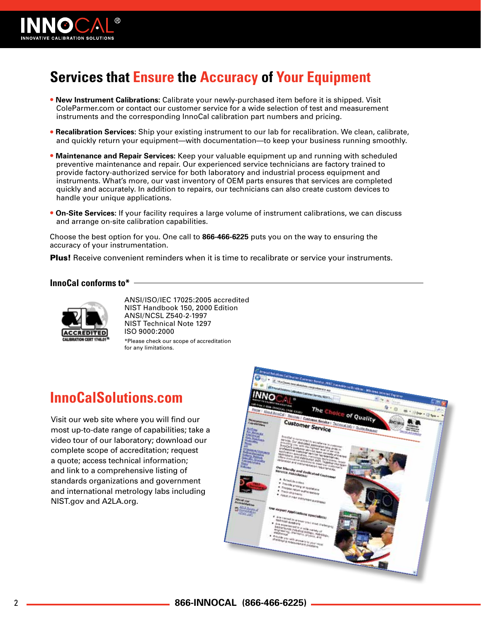

# **Services that Ensure the Accuracy of Your Equipment**

- **New Instrument Calibrations:** Calibrate your newly-purchased item before it is shipped. Visit ColeParmer.com or contact our customer service for a wide selection of test and measurement instruments and the corresponding InnoCal calibration part numbers and pricing.
- **Recalibration Services:** Ship your existing instrument to our lab for recalibration. We clean, calibrate, and quickly return your equipment—with documentation—to keep your business running smoothly.
- **Maintenance and Repair Services:** Keep your valuable equipment up and running with scheduled preventive maintenance and repair. Our experienced service technicians are factory trained to provide factory-authorized service for both laboratory and industrial process equipment and instruments. What's more, our vast inventory of OEM parts ensures that services are completed quickly and accurately. In addition to repairs, our technicians can also create custom devices to handle your unique applications.
- **On-Site Services:** If your facility requires a large volume of instrument calibrations, we can discuss and arrange on-site calibration capabilities.

Choose the best option for you. One call to **866-466-6225** puts you on the way to ensuring the accuracy of your instrumentation.

**Plus!** Receive convenient reminders when it is time to recalibrate or service your instruments.

#### **InnoCal conforms to\***



ANSI/ISO/IEC 17025:2005 accredited NIST Handbook 150, 2000 Edition ANSI/NCSL Z540-2-1997 NIST Technical Note 1297 ISO 9000:2000 \*Please check our scope of accreditation for any limitations.

# **InnoCalSolutions.com**

Visit our web site where you will find our most up-to-date range of capabilities; take a video tour of our laboratory; download our complete scope of accreditation; request a quote; access technical information; and link to a comprehensive listing of standards organizations and government and international metrology labs including NIST.gov and A2LA.org.

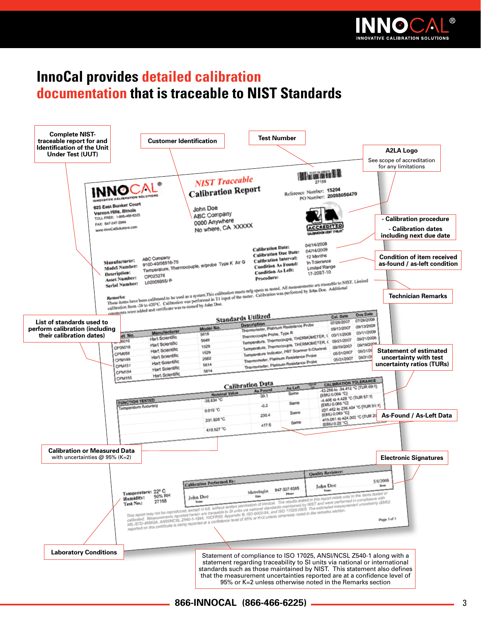

# **InnoCal provides detailed calibration documentation that is traceable to NIST Standards**



#### **866-INNOCAL (866-466-6225)** 33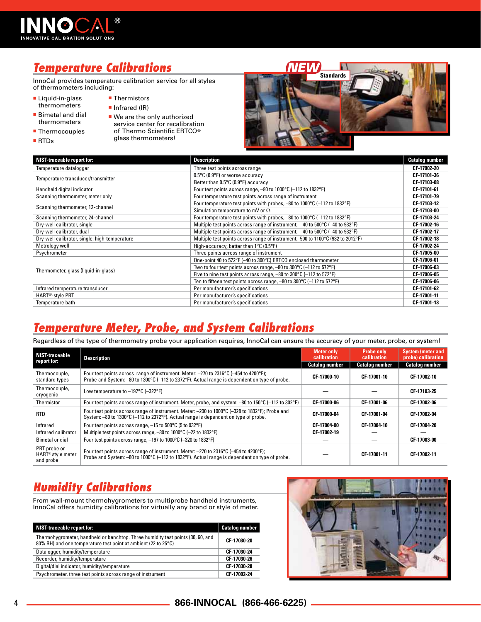

# *Temperature Calibrations*

InnoCal provides temperature calibration service for all styles of thermometers including:

- **Liquid-in-glass** thermometers
- Bimetal and dial thermometers
- Thermocouples
- RTDs

**Thermistors** Infrared (IR) We are the only authorized service center for recalibration of Thermo Scientific ERTCO® glass thermometers!



| <b>NIST-traceable report for:</b>             | <b>Description</b>                                                                                  | <b>Catalog number</b> |
|-----------------------------------------------|-----------------------------------------------------------------------------------------------------|-----------------------|
| Temperature datalogger                        | Three test points across range                                                                      | CF 17002-20           |
|                                               | 0.5°C (0.9°F) or worse accuracy                                                                     | CF 17101-36           |
| Temperature transducer/transmitter            | Better than 0.5°C (0.9°F) accuracy                                                                  | CF-17103-08           |
| Handheld digital indicator                    | Four test points across range, $-80$ to 1000 $\degree$ C ( $-112$ to 1832 $\degree$ F)              | CF-17101-61           |
| Scanning thermometer, meter only              | Four temperature test points across range of instrument                                             | CF 17101-79           |
| Scanning thermometer, 12-channel              | Four temperature test points with probes, -80 to 1000°C (-112 to 1832°F)                            | CF 17103 12           |
|                                               | Simulation temperature to mV or $\Omega$                                                            | CF-17103-00           |
| Scanning thermometer, 24-channel              | Four temperature test points with probes, -80 to 1000°C (-112 to 1832°F)                            | CF 17103-24           |
| Dry-well calibrator, single                   | Multiple test points across range of instrument, -40 to 500°C (-40 to 932°F)                        | CF 17002-16           |
| Dry-well calibrator, dual                     | Multiple test points across range of instrument, $-40$ to $500^{\circ}$ C (-40 to 932 $^{\circ}$ F) | CF 17002-17           |
| Dry-well calibrator, single; high-temperature | Multiple test points across range of instrument, 500 to 1100°C (932 to 2012°F)                      | CF-17002-18           |
| Metrology well                                | High-accuracy; better than $1^{\circ}$ C (0.5 $^{\circ}$ F)                                         | CF-17002-24           |
| Psychrometer                                  | Three points across range of instrument                                                             | CF-17005-00           |
|                                               | One-point 40 to 572°F (-40 to 300°C) ERTCO enclosed thermometer                                     | CF-17006-01           |
|                                               | Two to four test points across range, $-80$ to $300^{\circ}$ C ( $-112$ to $572^{\circ}$ F)         | CF-17006-03           |
| Thermometer, glass (liquid-in-glass)          | Five to nine test points across range, $-80$ to $300^{\circ}$ C ( $-112$ to $572^{\circ}$ F)        | CF-17006-05           |
|                                               | Ten to fifteen test points across range, -80 to 300°C (-112 to 572°F)                               | CF-17006-06           |
| Infrared temperature transducer               | Per manufacturer's specifications                                                                   | CF 17101-62           |
| HART <sup>®</sup> -style PRT                  | Per manufacturer's specifications                                                                   | CF-17001-11           |
| Temperature bath                              | Per manufacturer's specifications                                                                   | CF 17001-13           |

#### *Temperature Meter, Probe, and System Calibrations*

Regardless of the type of thermometry probe your application requires, InnoCal can ensure the accuracy of your meter, probe, or system!

| <b>NIST-traceable</b><br>report for:                       | <b>Description</b>                                                                                                                                                                      | <b>Meter only</b><br>calibration<br><b>Catalog number</b> | <b>Probe only</b><br>calibration<br><b>Catalog number</b> | <b>System (meter and</b><br>probe) calibration<br><b>Catalog number</b> |
|------------------------------------------------------------|-----------------------------------------------------------------------------------------------------------------------------------------------------------------------------------------|-----------------------------------------------------------|-----------------------------------------------------------|-------------------------------------------------------------------------|
| Thermocouple.<br>standard types                            | Four test points across range of instrument. Meter: -270 to 2316°C (-454 to 4200°F);<br>Probe and System: $-80$ to 1300°C (-112 to 2372°F). Actual range is dependent on type of probe. | CF-17000-10                                               | CF 17001-10                                               | CF-17002-10                                                             |
| Thermocouple,<br>cryogenic                                 | Low temperature to $-197^{\circ}$ C ( $-322^{\circ}$ F)                                                                                                                                 |                                                           |                                                           | CF 17103-25                                                             |
| Thermistor                                                 | Four test points across range of instrument. Meter, probe, and system: -80 to 150°C (-112 to 302°F)                                                                                     | CF-17000-06                                               | CF 17001-06                                               | CF-17002-06                                                             |
| <b>RTD</b>                                                 | Four test points across range of instrument. Meter: -200 to 1000°C (-328 to 1832°F); Probe and<br>System: -80 to 1300°C (-112 to 2372°F). Actual range is dependent on type of probe.   | CF-17000-04                                               | CF 17001-04                                               | CF-17002-04                                                             |
| Infrared                                                   | Four test points across range, -15 to 500°C (5 to 932°F)                                                                                                                                | CF-17004-00                                               | CF 17004-10                                               | CF-17004-20                                                             |
| Infrared calibrator                                        | Multiple test points across range, -30 to 1000°C (-22 to 1832°F)                                                                                                                        | CF-17002-19                                               |                                                           |                                                                         |
| Bimetal or dial                                            | Four test points across range, -197 to 1000°C (-320 to 1832°F)                                                                                                                          |                                                           |                                                           | CF-17003-00                                                             |
| PRT probe or<br>HART <sup>®</sup> style meter<br>and probe | Four test points across range of instrument. Meter: -270 to 2316°C (-454 to 4200°F);<br>Probe and System: $-80$ to 1000°C (-112 to 1832°F). Actual range is dependent on type of probe. |                                                           | CF-17001-11                                               | CF-17002-11                                                             |

#### *Humidity Calibrations*

From wall-mount thermohygrometers to multiprobe handheld instruments, InnoCal offers humidity calibrations for virtually any brand or style of meter.

| <b>NIST-traceable report for:</b>                                                                                                                 | <b>Catalog number</b> |
|---------------------------------------------------------------------------------------------------------------------------------------------------|-----------------------|
| Thermohygrometer, handheld or benchtop. Three humidity test points (30, 60, and<br>80% RH) and one temperature test point at ambient (22 to 25°C) | CF-17030-20           |
| Datalogger, humidity/temperature                                                                                                                  | CF-17030-24           |
| Recorder, humidity/temperature                                                                                                                    | CF-17030-26           |
| Digital/dial indicator, humidity/temperature                                                                                                      | CF-17030-28           |
| Psychrometer, three test points across range of instrument                                                                                        | CF-17002-24           |

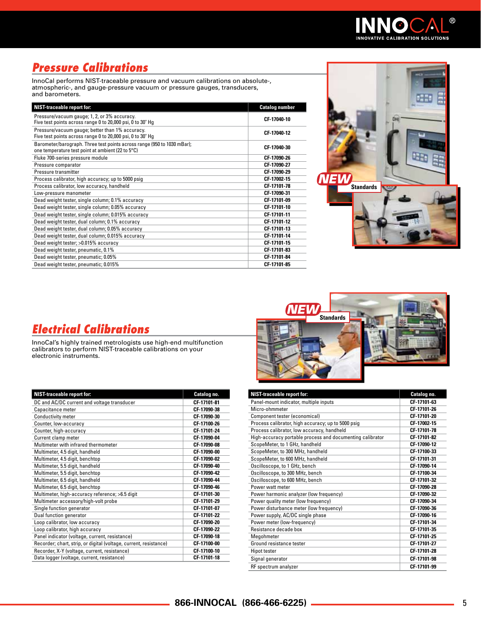

# *Pressure Calibrations*

InnoCal performs NIST-traceable pressure and vacuum calibrations on absolute-, atmospheric-, and gauge-pressure vacuum or pressure gauges, transducers, and barometers.

| <b>NIST-traceable report for:</b>                                                                                            | <b>Catalog number</b> |
|------------------------------------------------------------------------------------------------------------------------------|-----------------------|
| Pressure/vacuum gauge; 1, 2, or 3% accuracy.<br>Five test points across range 0 to 20,000 psi, 0 to 30" Hg                   | CF-17040-10           |
| Pressure/vacuum gauge; better than 1% accuracy.<br>Five test points across range 0 to 20,000 psi, 0 to 30" Hg                | CF 17040-12           |
| Barometer/barograph. Three test points across range (950 to 1030 mBar);<br>one temperature test point at ambient (22 to 5°C) | CF-17040-30           |
| Fluke 700-series pressure module                                                                                             | CF-17090-26           |
| Pressure comparator                                                                                                          | CF-17090-27           |
| Pressure transmitter                                                                                                         | CF-17090-29           |
| Process calibrator, high accuracy; up to 5000 psig                                                                           | CF-17002-15           |
| Process calibrator, low accuracy, handheld                                                                                   | CF 17101-78           |
| Low-pressure manometer                                                                                                       | CF-17090-31           |
| Dead weight tester, single column; 0.1% accuracy                                                                             | CF 17101-09           |
| Dead weight tester, single column; 0.05% accuracy                                                                            | CF-17101-10           |
| Dead weight tester, single column; 0.015% accuracy                                                                           | CF-17101-11           |
| Dead weight tester, dual column; 0.1% accuracy                                                                               | CF-17101-12           |
| Dead weight tester, dual column; 0.05% accuracy                                                                              | CF-17101-13           |
| Dead weight tester, dual column; 0.015% accuracy                                                                             | CF-17101-14           |
| Dead weight tester; >0.015% accuracy                                                                                         | CF 17101-15           |
| Dead weight tester, pneumatic, 0.1%                                                                                          | CF 17101-83           |
| Dead weight tester, pneumatic; 0.05%                                                                                         | CF-17101-84           |
| Dead weight tester, pneumatic; 0.015%                                                                                        | CF 17101-85           |



#### *Electrical Calibrations*

InnoCal's highly trained metrologists use high-end multifunction calibrators to perform NIST-traceable calibrations on your electronic instruments.

| <b>NIST-traceable report for:</b>                                 | Catalog no. |
|-------------------------------------------------------------------|-------------|
| DC and AC/DC current and voltage transducer                       | CF-17101-81 |
| Capacitance meter                                                 | CF-17090-38 |
| <b>Conductivity meter</b>                                         | CF-17090-30 |
| Counter, low-accuracy                                             | CF-17100-26 |
| Counter, high-accuracy                                            | CF-17101-24 |
| Current clamp meter                                               | CF-17090-04 |
| Multimeter with infrared thermometer                              | CF-17090-08 |
| Multimeter, 4.5 digit, handheld                                   | CF-17090-00 |
| Multimeter, 4.5 digit, benchtop                                   | CF-17090-02 |
| Multimeter, 5.5 digit, handheld                                   | CF-17090-40 |
| Multimeter, 5.5 digit, benchtop                                   | CF-17090-42 |
| Multimeter, 6.5 digit, handheld                                   | CF-17090-44 |
| Multimeter, 6.5 digit, benchtop                                   | CF-17090-46 |
| Multimeter, high-accuracy reference; >6.5 digit                   | CF-17101-30 |
| Multimeter accessory/high-volt probe                              | CF 17101-29 |
| Single function generator                                         | CF-17101-07 |
| Dual function generator                                           | CF-17101-22 |
| Loop calibrator, low accuracy                                     | CF-17090-20 |
| Loop calibrator, high accuracy                                    | CF-17090-22 |
| Panel indicator (voltage, current, resistance)                    | CF-17090-18 |
| Recorder; chart, strip, or digital (voltage, current, resistance) | CF-17100-00 |
| Recorder, X-Y (voltage, current, resistance)                      | CF-17100-10 |
| Data logger (voltage, current, resistance)                        | CF-17101-18 |



| <b>NIST-traceable report for:</b>                         | Catalog no. |
|-----------------------------------------------------------|-------------|
| Panel-mount indicator, multiple inputs                    | CF-17101-63 |
| Micro-ohmmeter                                            | CF-17101-26 |
| Component tester (economical)                             | CF-17101-20 |
| Process calibrator, high accuracy; up to 5000 psig        | CF 17002-15 |
| Process calibrator, low accuracy, handheld                | CF-17101-78 |
| High-accuracy portable process and documenting calibrator | CF-17101-82 |
| ScopeMeter, to 1 GHz, handheld                            | CF-17090-12 |
| ScopeMeter, to 300 MHz, handheld                          | CF-17100-33 |
| ScopeMeter, to 600 MHz, handheld                          | CF-17101-31 |
| Oscilloscope, to 1 GHz, bench                             | CF-17090-14 |
| Oscilloscope, to 300 MHz, bench                           | CF-17100-34 |
| Oscilloscope, to 600 MHz, bench                           | CF-17101-32 |
| Power watt meter                                          | CF-17090-28 |
| Power harmonic analyzer (low frequency)                   | CF-17090-32 |
| Power quality meter (low frequency)                       | CF-17090-34 |
| Power disturbance meter (low frequency)                   | CF-17090-36 |
| Power supply, AC/DC single phase                          | CF-17090-16 |
| Power meter (low-frequency)                               | CF-17101-34 |
| Resistance decade box                                     | CF-17101-35 |
| Megohmeter                                                | CF-17101-25 |
| Ground resistance tester                                  | CF-17101-27 |
| <b>Hipot tester</b>                                       | CF-17101-28 |
| Signal generator                                          | CF-17101-98 |
| RF spectrum analyzer                                      | CF 17101-99 |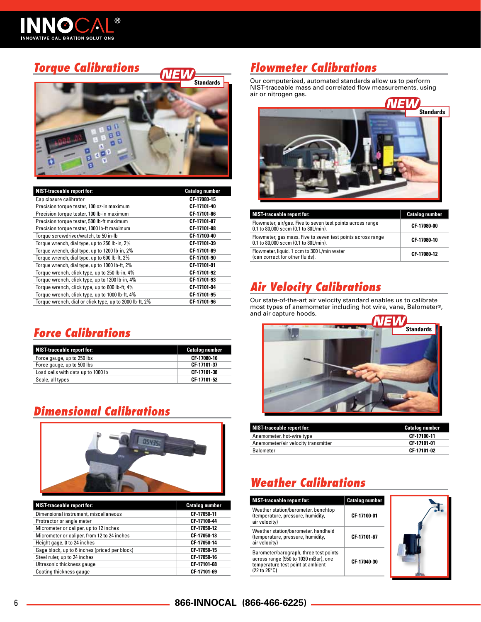

#### *Torque Calibrations*



| <b>NIST-traceable report for:</b>                       | <b>Catalog number</b> |
|---------------------------------------------------------|-----------------------|
| Cap closure calibrator                                  | CF 17080-15           |
| Precision torque tester, 100 oz-in maximum              | CF 17101-40           |
| Precision torque tester, 100 lb-in maximum              | CF-17101-86           |
| Precision torque tester, 500 lb-ft maximum              | CF-17101-87           |
| Precision torque tester, 1000 lb-ft maximum             | CF-17101-88           |
| Torque screwdriver/watch, to 50 in-lb                   | CF-17100-40           |
| Torque wrench, dial type, up to 250 lb-in, 2%           | CF 17101-39           |
| Torque wrench, dial type, up to 1200 lb-in, 2%          | CF 17101-89           |
| Torque wrench, dial type, up to 600 lb-ft, 2%           | CF 17101-90           |
| Torque wrench, dial type, up to 1000 lb-ft, 2%          | CF-17101-91           |
| Torque wrench, click type, up to 250 lb-in, 4%          | CF 17101-92           |
| Torque wrench, click type, up to 1200 lb-in, 4%         | CF-17101-93           |
| Torque wrench, click type, up to 600 lb-ft, 4%          | CF-17101-94           |
| Torque wrench, click type, up to 1000 lb-ft, 4%         | CF-17101-95           |
| Torque wrench, dial or click type, up to 2000 lb-ft, 2% | CF-17101-96           |

#### *Force Calibrations*

| <b>NIST-traceable report for:</b>  | <b>Catalog number</b> |
|------------------------------------|-----------------------|
| Force gauge, up to 250 lbs         | CF-17080-16           |
| Force gauge, up to 500 lbs         | CF-17101-37           |
| Load cells with data up to 1000 lb | CF 17101-38           |
| Scale, all types                   | CF 17101-52           |

#### *Dimensional Calibrations*



| NIST-traceable report for:                    | <b>Catalog number</b> |
|-----------------------------------------------|-----------------------|
| Dimensional instrument, miscellaneous         | CF 17050-11           |
| Protractor or angle meter                     | CF-17100-44           |
| Micrometer or caliper, up to 12 inches        | CF 17050-12           |
| Micrometer or caliper, from 12 to 24 inches   | CF 17050-13           |
| Height gage, 0 to 24 inches                   | CF-17050-14           |
| Gage block, up to 6 inches (priced per block) | CF 17050-15           |
| Steel ruler, up to 24 inches                  | CF 17050-16           |
| Ultrasonic thickness gauge                    | CF-17101-68           |
| Coating thickness gauge                       | CF-17101-69           |

#### *Flowmeter Calibrations*

Our computerized, automated standards allow us to perform NIST-traceable mass and correlated flow measurements, using air or nitrogen gas.



| <b>NIST-traceable report for:</b>                                                                   | <b>Catalog number</b> |
|-----------------------------------------------------------------------------------------------------|-----------------------|
| Flowmeter, air/gas. Five to seven test points across range<br>0.1 to 80,000 sccm (0.1 to 80L/min).  | CF-17080-00           |
| Flowmeter, gas mass. Five to seven test points across range<br>0.1 to 80,000 sccm (0.1 to 80L/min). | CF-17080-10           |
| Flowmeter, liquid. 1 ccm to 300 L/min water<br>(can correct for other fluids).                      | CF-17080-12           |

### *Air Velocity Calibrations*

Our state-of-the-art air velocity standard enables us to calibrate most types of anemometer including hot wire, vane, Balometer®, and air capture hoods.



| NIST-traceable report for:          | <b>Catalog number</b> |
|-------------------------------------|-----------------------|
| Anemometer, hot-wire type           | CF-17100-11           |
| Anemometer/air velocity transmitter | CF-17101-01           |
| Balometer                           | CF-17101-02           |

## *Weather Calibrations*

| NIST-traceable report for:                                                                                                          | <b>Catalog number</b> |  |
|-------------------------------------------------------------------------------------------------------------------------------------|-----------------------|--|
| Weather station/barometer, benchtop<br>(temperature, pressure, humidity,<br>air velocity)                                           | CF 17100-01           |  |
| Weather station/barometer, handheld<br>(temperature, pressure, humidity,<br>air velocity)                                           | CF 17101 67           |  |
| Barometer/barograph, three test points<br>across range (950 to 1030 mBar), one<br>temperature test point at ambient<br>(22 to 25°C) | CF 17040-30           |  |